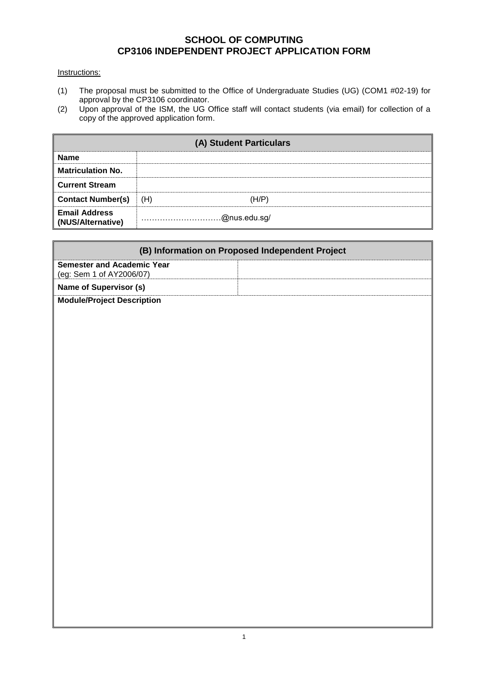## **SCHOOL OF COMPUTING CP3106 INDEPENDENT PROJECT APPLICATION FORM**

## Instructions:

- (1) The proposal must be submitted to the Office of Undergraduate Studies (UG) (COM1 #02-19) for approval by the CP3106 coordinator.
- (2) Upon approval of the ISM, the UG Office staff will contact students (via email) for collection of a copy of the approved application form.

| (A) Student Particulars                   |              |  |  |
|-------------------------------------------|--------------|--|--|
| <b>Name</b>                               |              |  |  |
| <b>Matriculation No.</b>                  |              |  |  |
| <b>Current Stream</b>                     |              |  |  |
| <b>Contact Number(s)</b>                  | (H)<br>(H/P) |  |  |
| <b>Email Address</b><br>(NUS/Alternative) | @nus.edu.sg/ |  |  |

| (B) Information on Proposed Independent Project                       |  |  |  |
|-----------------------------------------------------------------------|--|--|--|
| <b>Semester and Academic Year</b><br>$\vert$ (eg: Sem 1 of AY2006/07) |  |  |  |
| Name of Supervisor (s)                                                |  |  |  |
| Module/Project Description                                            |  |  |  |